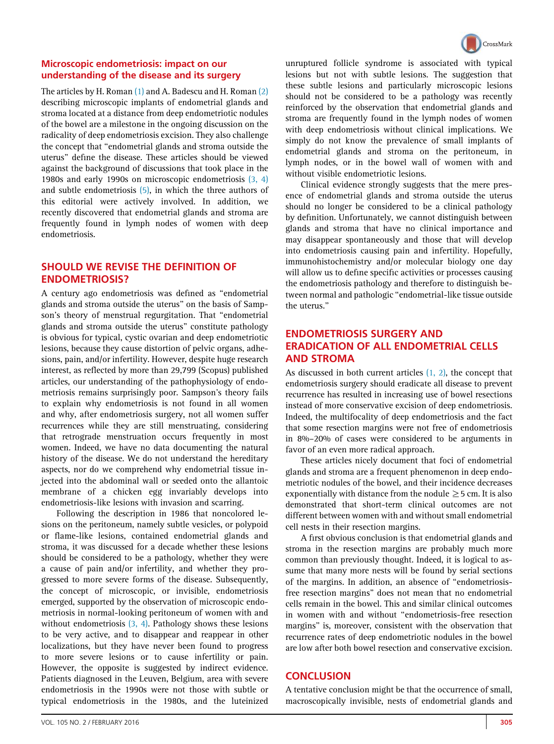#### Microscopic endometriosis: impact on our understanding of the disease and its surgery

The articles by H. Roman [\(1\)](#page-1-0) and A. Badescu and H. Roman [\(2\)](#page-1-0) describing microscopic implants of endometrial glands and stroma located at a distance from deep endometriotic nodules of the bowel are a milestone in the ongoing discussion on the radicality of deep endometriosis excision. They also challenge the concept that ''endometrial glands and stroma outside the uterus'' define the disease. These articles should be viewed against the background of discussions that took place in the 1980s and early 1990s on microscopic endometriosis [\(3, 4\)](#page-1-0) and subtle endometriosis [\(5\)](#page-1-0), in which the three authors of this editorial were actively involved. In addition, we recently discovered that endometrial glands and stroma are frequently found in lymph nodes of women with deep endometriosis.

### SHOULD WE REVISE THE DEFINITION OF ENDOMETRIOSIS?

A century ago endometriosis was defined as ''endometrial glands and stroma outside the uterus'' on the basis of Sampson's theory of menstrual regurgitation. That ''endometrial glands and stroma outside the uterus'' constitute pathology is obvious for typical, cystic ovarian and deep endometriotic lesions, because they cause distortion of pelvic organs, adhesions, pain, and/or infertility. However, despite huge research interest, as reflected by more than 29,799 (Scopus) published articles, our understanding of the pathophysiology of endometriosis remains surprisingly poor. Sampson's theory fails to explain why endometriosis is not found in all women and why, after endometriosis surgery, not all women suffer recurrences while they are still menstruating, considering that retrograde menstruation occurs frequently in most women. Indeed, we have no data documenting the natural history of the disease. We do not understand the hereditary aspects, nor do we comprehend why endometrial tissue injected into the abdominal wall or seeded onto the allantoic membrane of a chicken egg invariably develops into endometriosis-like lesions with invasion and scarring.

Following the description in 1986 that noncolored lesions on the peritoneum, namely subtle vesicles, or polypoid or flame-like lesions, contained endometrial glands and stroma, it was discussed for a decade whether these lesions should be considered to be a pathology, whether they were a cause of pain and/or infertility, and whether they progressed to more severe forms of the disease. Subsequently, the concept of microscopic, or invisible, endometriosis emerged, supported by the observation of microscopic endometriosis in normal-looking peritoneum of women with and without endometriosis [\(3, 4\).](#page-1-0) Pathology shows these lesions to be very active, and to disappear and reappear in other localizations, but they have never been found to progress to more severe lesions or to cause infertility or pain. However, the opposite is suggested by indirect evidence. Patients diagnosed in the Leuven, Belgium, area with severe endometriosis in the 1990s were not those with subtle or typical endometriosis in the 1980s, and the luteinized

unruptured follicle syndrome is associated with typical lesions but not with subtle lesions. The suggestion that these subtle lesions and particularly microscopic lesions should not be considered to be a pathology was recently reinforced by the observation that endometrial glands and stroma are frequently found in the lymph nodes of women with deep endometriosis without clinical implications. We simply do not know the prevalence of small implants of endometrial glands and stroma on the peritoneum, in lymph nodes, or in the bowel wall of women with and without visible endometriotic lesions.

Clinical evidence strongly suggests that the mere presence of endometrial glands and stroma outside the uterus should no longer be considered to be a clinical pathology by definition. Unfortunately, we cannot distinguish between glands and stroma that have no clinical importance and may disappear spontaneously and those that will develop into endometriosis causing pain and infertility. Hopefully, immunohistochemistry and/or molecular biology one day will allow us to define specific activities or processes causing the endometriosis pathology and therefore to distinguish between normal and pathologic ''endometrial-like tissue outside the uterus.''

# ENDOMETRIOSIS SURGERY AND ERADICATION OF ALL ENDOMETRIAL CELLS AND STROMA

As discussed in both current articles  $(1, 2)$ , the concept that endometriosis surgery should eradicate all disease to prevent recurrence has resulted in increasing use of bowel resections instead of more conservative excision of deep endometriosis. Indeed, the multifocality of deep endometriosis and the fact that some resection margins were not free of endometriosis in 8%–20% of cases were considered to be arguments in favor of an even more radical approach.

These articles nicely document that foci of endometrial glands and stroma are a frequent phenomenon in deep endometriotic nodules of the bowel, and their incidence decreases exponentially with distance from the nodule  $\geq$  5 cm. It is also demonstrated that short-term clinical outcomes are not different between women with and without small endometrial cell nests in their resection margins.

A first obvious conclusion is that endometrial glands and stroma in the resection margins are probably much more common than previously thought. Indeed, it is logical to assume that many more nests will be found by serial sections of the margins. In addition, an absence of ''endometriosisfree resection margins'' does not mean that no endometrial cells remain in the bowel. This and similar clinical outcomes in women with and without ''endometriosis-free resection margins'' is, moreover, consistent with the observation that recurrence rates of deep endometriotic nodules in the bowel are low after both bowel resection and conservative excision.

#### **CONCLUSION**

A tentative conclusion might be that the occurrence of small, macroscopically invisible, nests of endometrial glands and